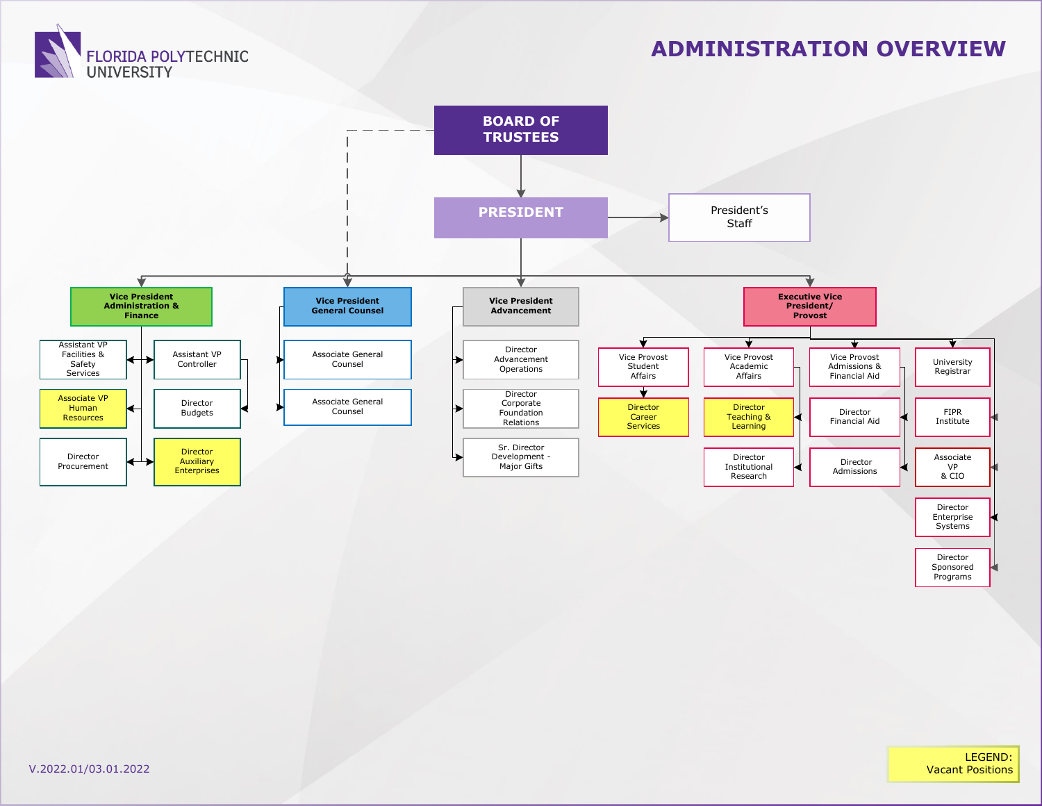

#### **ADMINISTRATION OVERVIEW**



Director Sponsored Programs

LEGEND: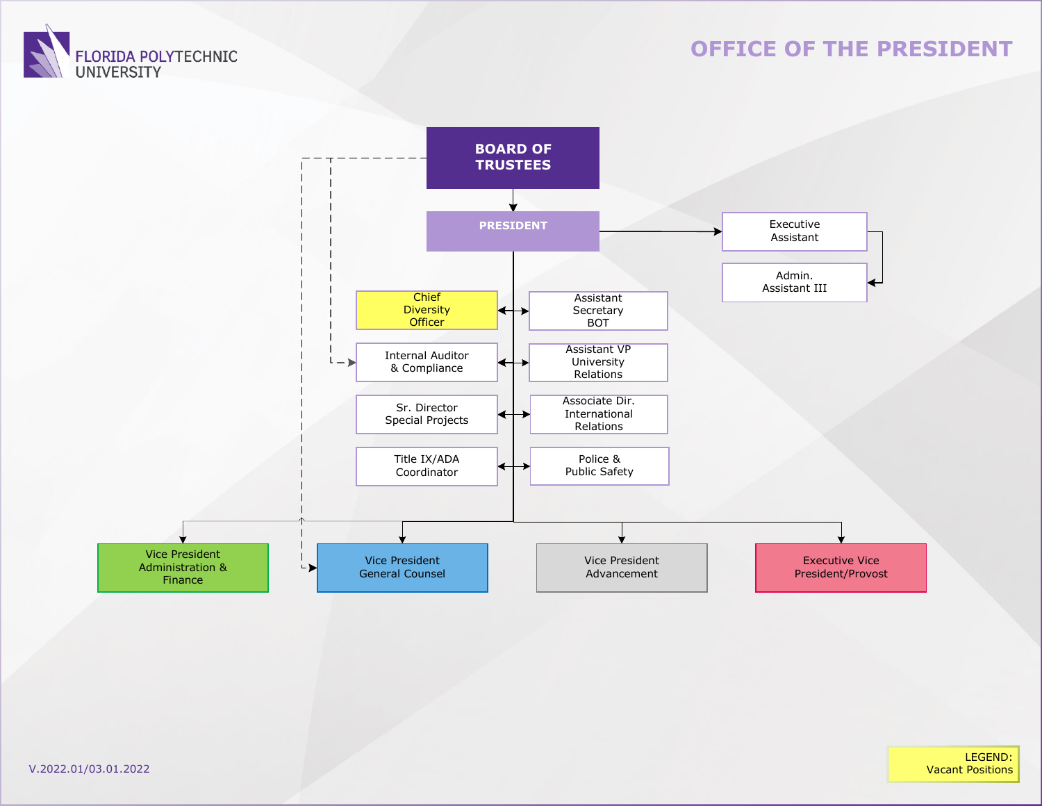

#### **OFFICE OF THE PRESIDENT**

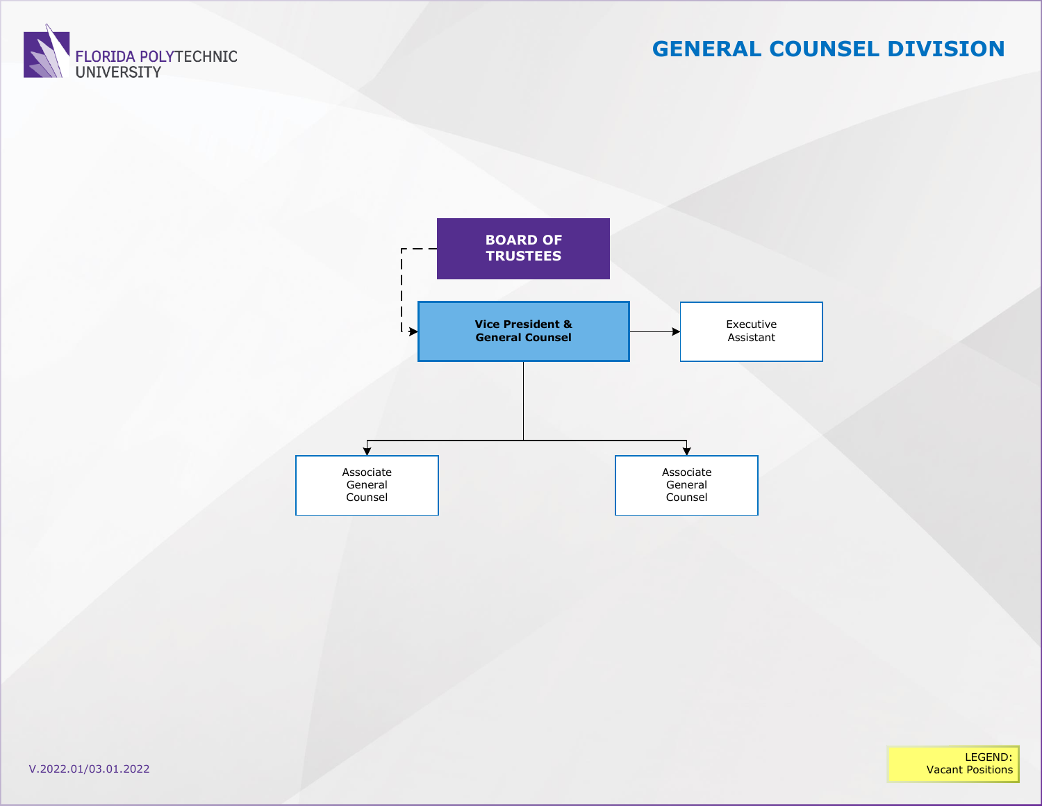

# **GENERAL COUNSEL DIVISION**





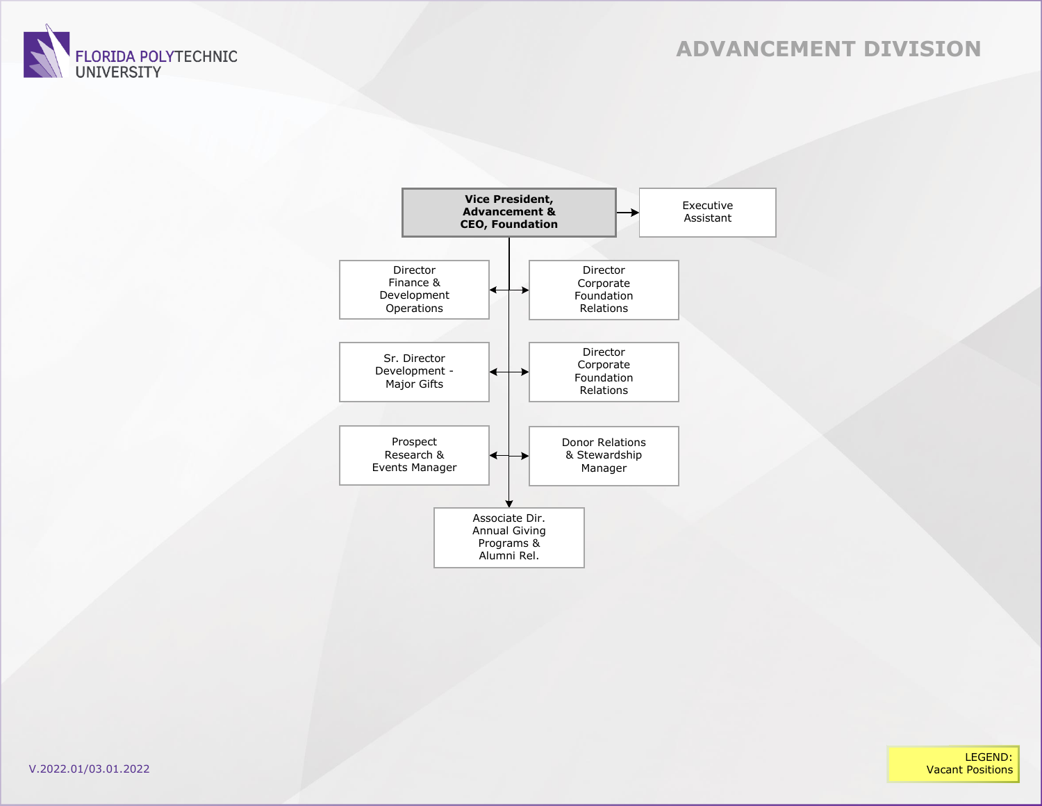#### **ADVANCEMENT DIVISION**





LEGEND:<br>Vacant Positions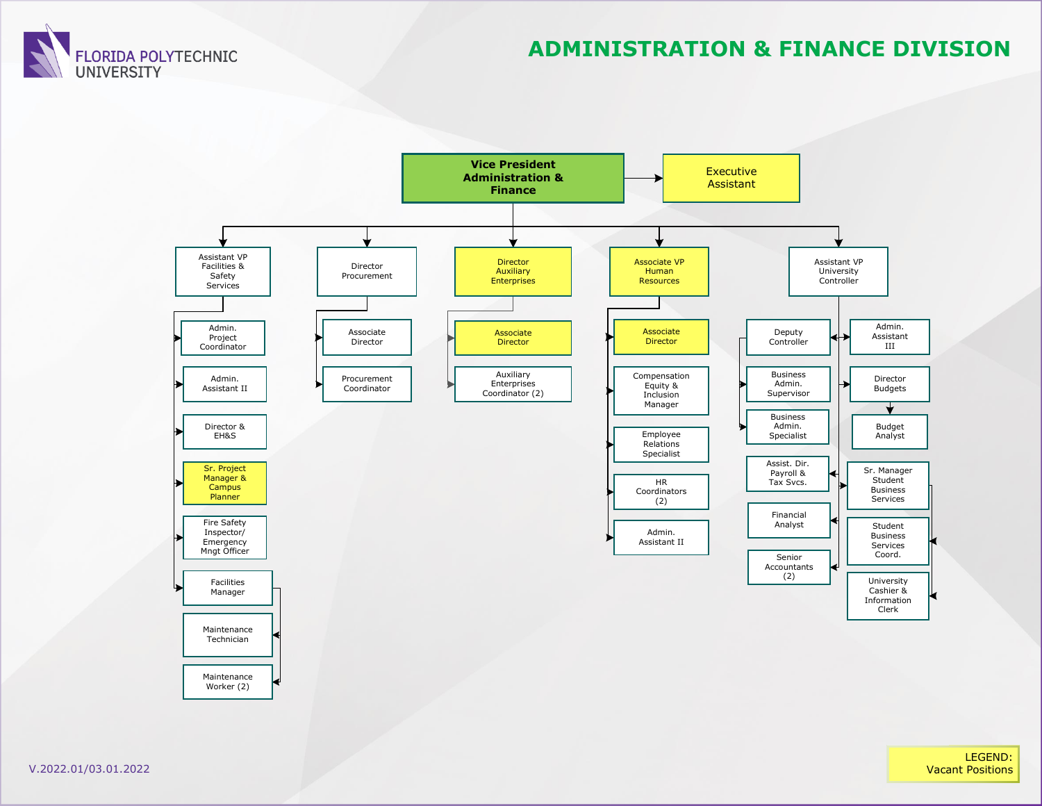

#### **ADMINISTRATION & FINANCE DIVISION**

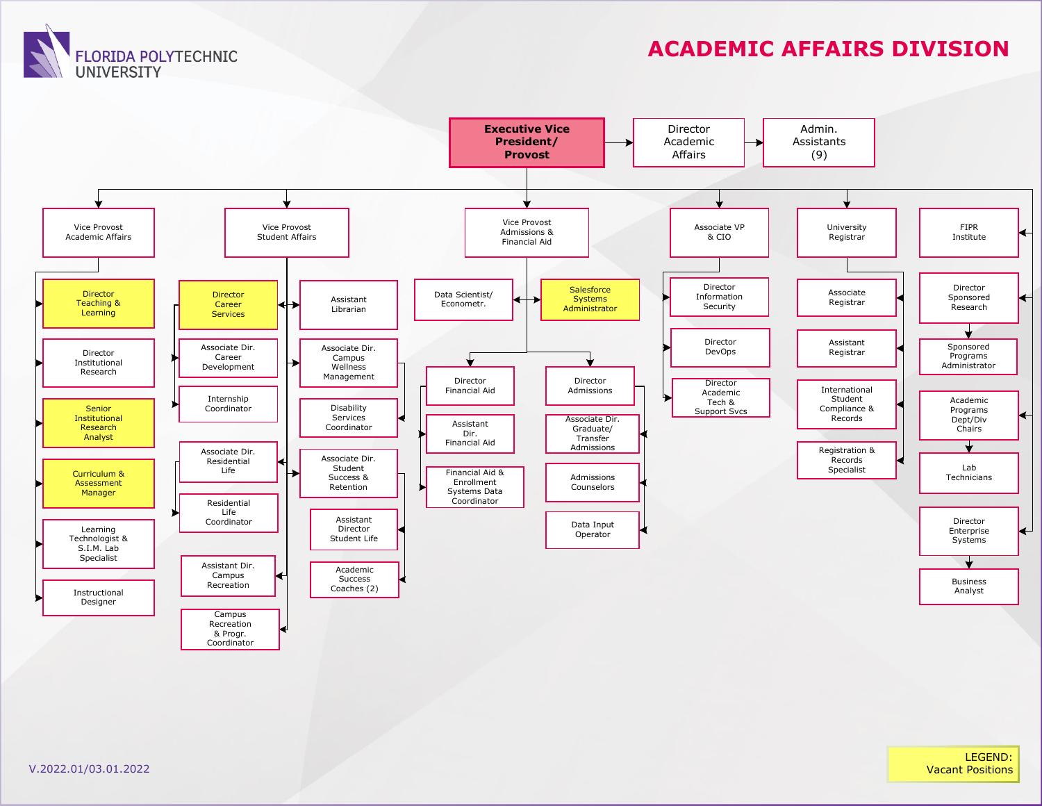**FLORIDA POLYTECHNIC UNIVERSITY** 

## **ACADEMIC AFFAIRS DIVISION**



LEGEND: